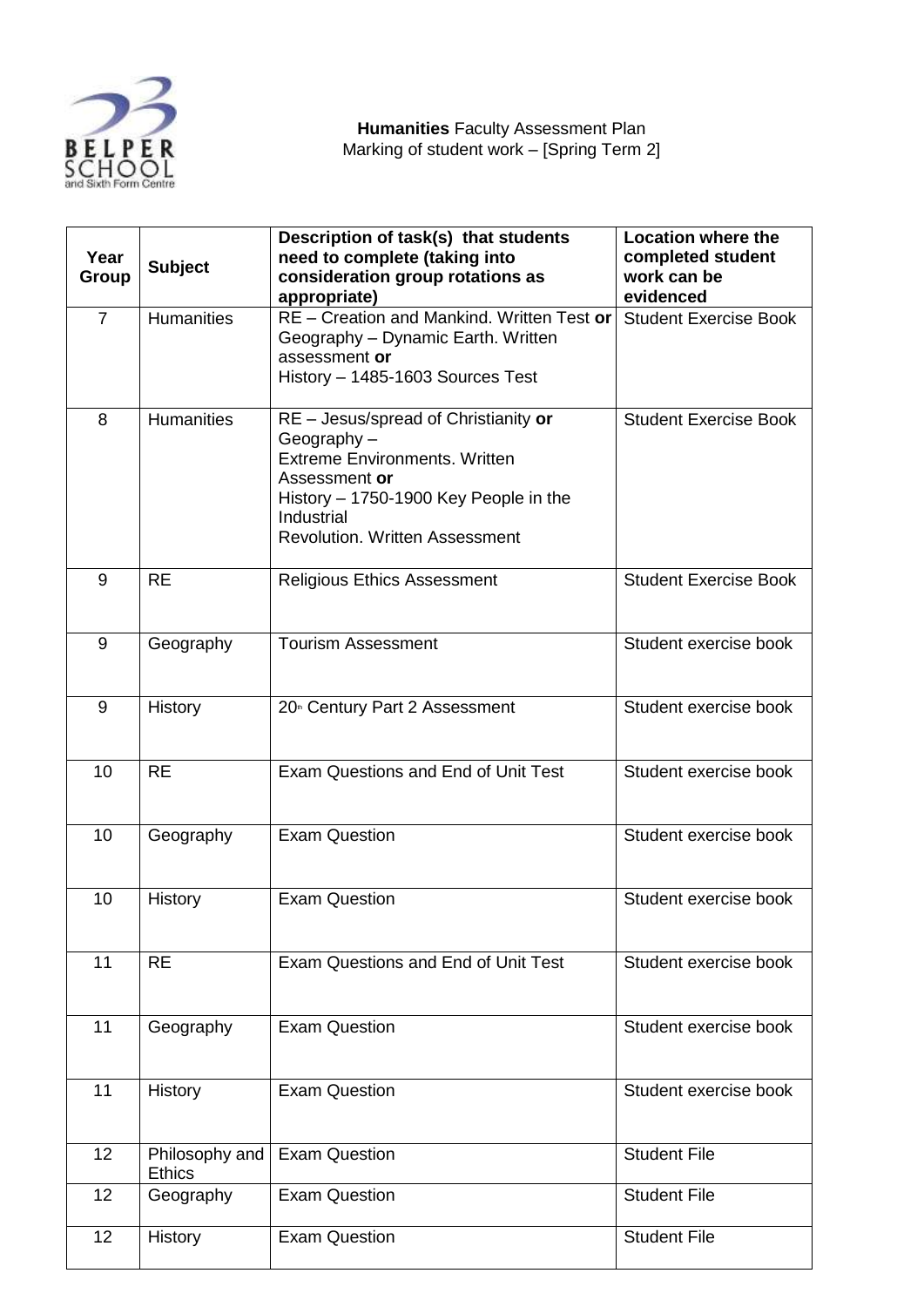

| Year<br>Group  | <b>Subject</b>                  | Description of task(s) that students<br>need to complete (taking into<br>consideration group rotations as<br>appropriate)                                                                                      | <b>Location where the</b><br>completed student<br>work can be<br>evidenced |
|----------------|---------------------------------|----------------------------------------------------------------------------------------------------------------------------------------------------------------------------------------------------------------|----------------------------------------------------------------------------|
| $\overline{7}$ | <b>Humanities</b>               | RE - Creation and Mankind. Written Test or<br>Geography - Dynamic Earth. Written<br>assessment or<br>History - 1485-1603 Sources Test                                                                          | <b>Student Exercise Book</b>                                               |
| 8              | <b>Humanities</b>               | RE - Jesus/spread of Christianity or<br>Geography $-$<br><b>Extreme Environments, Written</b><br>Assessment or<br>History - 1750-1900 Key People in the<br>Industrial<br><b>Revolution. Written Assessment</b> | <b>Student Exercise Book</b>                                               |
| 9              | <b>RE</b>                       | <b>Religious Ethics Assessment</b>                                                                                                                                                                             | <b>Student Exercise Book</b>                                               |
| 9              | Geography                       | <b>Tourism Assessment</b>                                                                                                                                                                                      | Student exercise book                                                      |
| 9              | History                         | 20 <sup>th</sup> Century Part 2 Assessment                                                                                                                                                                     | Student exercise book                                                      |
| 10             | <b>RE</b>                       | Exam Questions and End of Unit Test                                                                                                                                                                            | Student exercise book                                                      |
| 10             | Geography                       | <b>Exam Question</b>                                                                                                                                                                                           | Student exercise book                                                      |
| 10             | History                         | <b>Exam Question</b>                                                                                                                                                                                           | Student exercise book                                                      |
| 11             | <b>RE</b>                       | Exam Questions and End of Unit Test                                                                                                                                                                            | Student exercise book                                                      |
| 11             | Geography                       | <b>Exam Question</b>                                                                                                                                                                                           | Student exercise book                                                      |
| 11             | History                         | <b>Exam Question</b>                                                                                                                                                                                           | Student exercise book                                                      |
| 12             | Philosophy and<br><b>Ethics</b> | <b>Exam Question</b>                                                                                                                                                                                           | <b>Student File</b>                                                        |
| 12             | Geography                       | <b>Exam Question</b>                                                                                                                                                                                           | <b>Student File</b>                                                        |
| 12             | History                         | <b>Exam Question</b>                                                                                                                                                                                           | <b>Student File</b>                                                        |